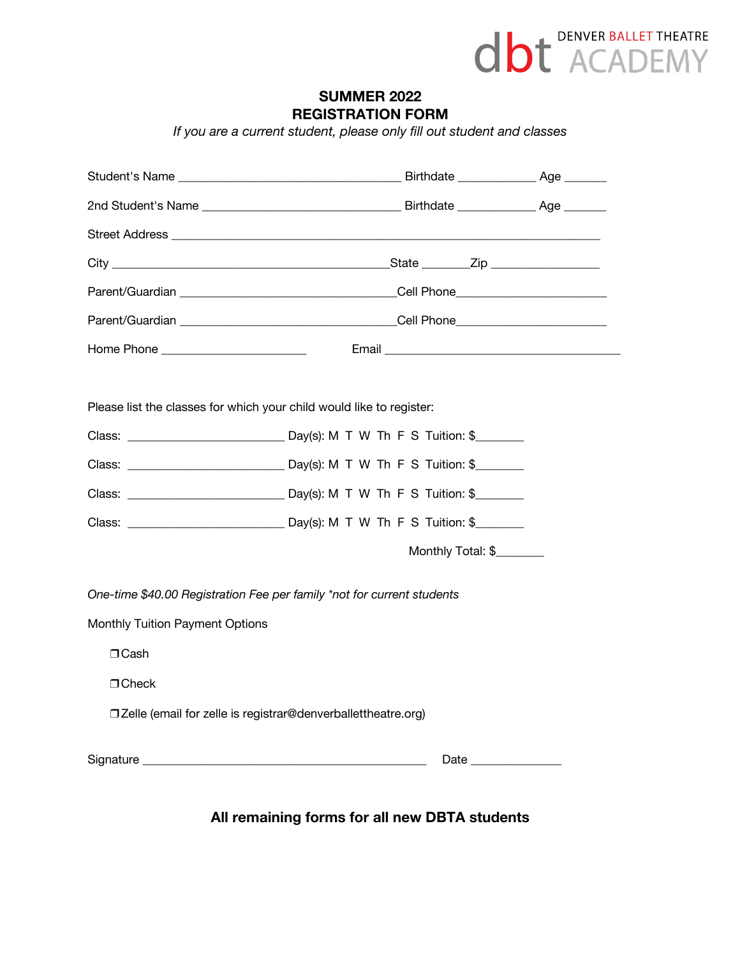

## **SUMMER 2022 REGISTRATION FORM**

*If you are a current student, please only fill out student and classes*

|                                                                                                                                                                                                                                      | Parent/Guardian et al. 2010 and 2010 and 2010 and 2010 and 2010 and 2010 and 2010 and 2010 and 2010 and 2010 and 2010 and 2010 and 2010 and 2010 and 2010 and 2010 and 2010 and 2010 and 2010 and 2010 and 2010 and 2010 and 2 |  |  |  |
|--------------------------------------------------------------------------------------------------------------------------------------------------------------------------------------------------------------------------------------|--------------------------------------------------------------------------------------------------------------------------------------------------------------------------------------------------------------------------------|--|--|--|
|                                                                                                                                                                                                                                      |                                                                                                                                                                                                                                |  |  |  |
|                                                                                                                                                                                                                                      |                                                                                                                                                                                                                                |  |  |  |
| Please list the classes for which your child would like to register:                                                                                                                                                                 |                                                                                                                                                                                                                                |  |  |  |
|                                                                                                                                                                                                                                      |                                                                                                                                                                                                                                |  |  |  |
|                                                                                                                                                                                                                                      |                                                                                                                                                                                                                                |  |  |  |
|                                                                                                                                                                                                                                      |                                                                                                                                                                                                                                |  |  |  |
|                                                                                                                                                                                                                                      |                                                                                                                                                                                                                                |  |  |  |
|                                                                                                                                                                                                                                      | Monthly Total: \$                                                                                                                                                                                                              |  |  |  |
| One-time \$40.00 Registration Fee per family *not for current students<br>Monthly Tuition Payment Options                                                                                                                            |                                                                                                                                                                                                                                |  |  |  |
| $\Box$ Cash                                                                                                                                                                                                                          |                                                                                                                                                                                                                                |  |  |  |
| $\Box$ Check                                                                                                                                                                                                                         |                                                                                                                                                                                                                                |  |  |  |
| □ Zelle (email for zelle is registrar@denverballettheatre.org)                                                                                                                                                                       |                                                                                                                                                                                                                                |  |  |  |
| Signature <u>experience and the set of the set of the set of the set of the set of the set of the set of the set of the set of the set of the set of the set of the set of the set of the set of the set of the set of the set o</u> | Date and the second second second second second second second second second second second second second second second second second second second second second second second second second second second second second second |  |  |  |

**All remaining forms for all new DBTA students**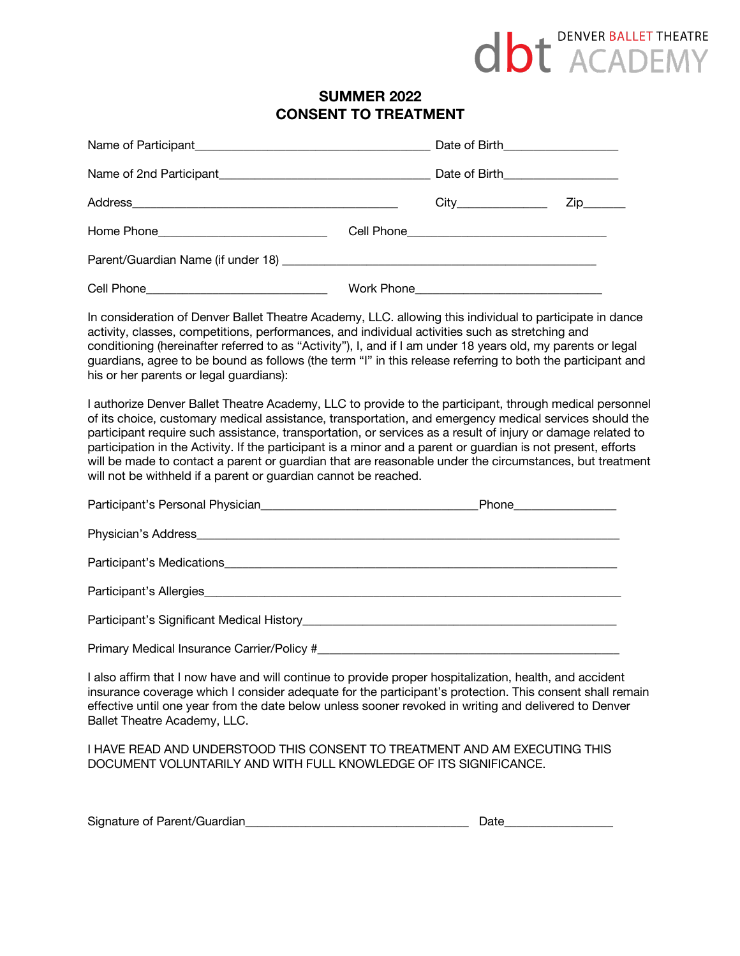# **dbt** DENVER BALLET THEATRE

# **SUMMER 2022 CONSENT TO TREATMENT**

|  | Date of Birth____________________  |  |
|--|------------------------------------|--|
|  | Date of Birth_____________________ |  |
|  | City_______________                |  |
|  |                                    |  |
|  |                                    |  |
|  |                                    |  |

In consideration of Denver Ballet Theatre Academy, LLC. allowing this individual to participate in dance activity, classes, competitions, performances, and individual activities such as stretching and conditioning (hereinafter referred to as "Activity"), I, and if I am under 18 years old, my parents or legal guardians, agree to be bound as follows (the term "I" in this release referring to both the participant and his or her parents or legal guardians):

I authorize Denver Ballet Theatre Academy, LLC to provide to the participant, through medical personnel of its choice, customary medical assistance, transportation, and emergency medical services should the participant require such assistance, transportation, or services as a result of injury or damage related to participation in the Activity. If the participant is a minor and a parent or guardian is not present, efforts will be made to contact a parent or guardian that are reasonable under the circumstances, but treatment will not be withheld if a parent or guardian cannot be reached.

| Participant's Medications                                                                                                                                                                                                            |  |
|--------------------------------------------------------------------------------------------------------------------------------------------------------------------------------------------------------------------------------------|--|
| Participant's Allergies                                                                                                                                                                                                              |  |
| Participant's Significant Medical History <b>Contract Contract Contract Contract Contract Contract Contract Contract Contract Contract Contract Contract Contract Contract Contract Contract Contract Contract Contract Contract</b> |  |
| Primary Medical Insurance Carrier/Policy #                                                                                                                                                                                           |  |

I also affirm that I now have and will continue to provide proper hospitalization, health, and accident insurance coverage which I consider adequate for the participant's protection. This consent shall remain effective until one year from the date below unless sooner revoked in writing and delivered to Denver Ballet Theatre Academy, LLC.

I HAVE READ AND UNDERSTOOD THIS CONSENT TO TREATMENT AND AM EXECUTING THIS DOCUMENT VOLUNTARILY AND WITH FULL KNOWLEDGE OF ITS SIGNIFICANCE.

| Signature<br>$1000 + C$<br>,,,,,,,,<br>$\sim$<br>. .<br>a rature :<br>- 11<br>7151111<br>лаг<br>11171 |  |
|-------------------------------------------------------------------------------------------------------|--|
|-------------------------------------------------------------------------------------------------------|--|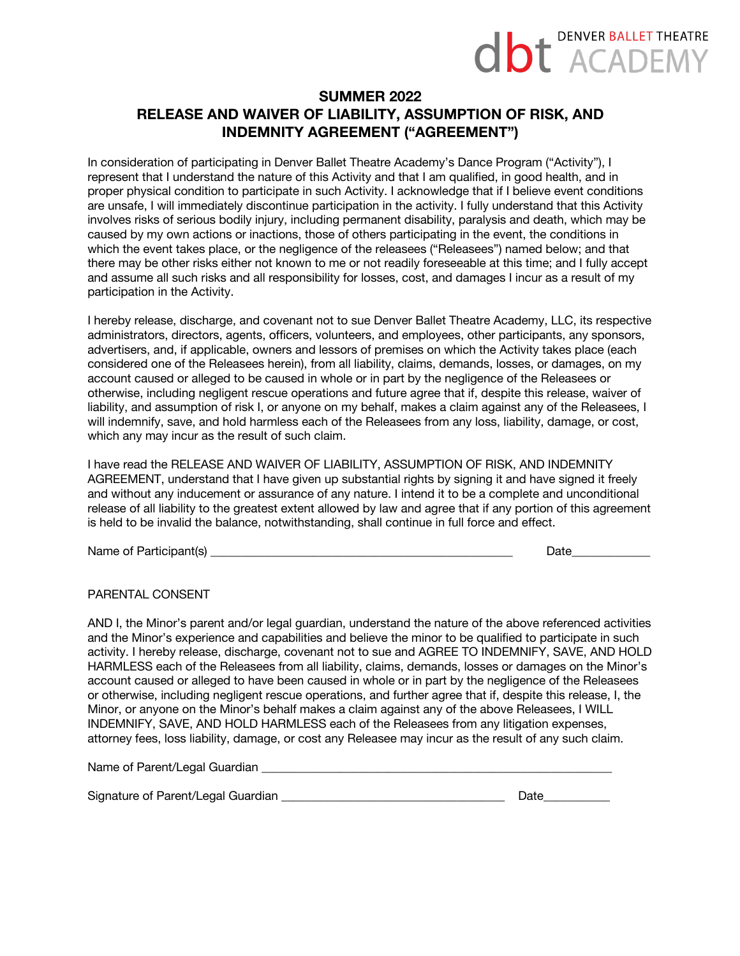# **DENVER BALLET THEATRE dbt** ACADEM

# **SUMMER 2022 RELEASE AND WAIVER OF LIABILITY, ASSUMPTION OF RISK, AND INDEMNITY AGREEMENT ("AGREEMENT")**

In consideration of participating in Denver Ballet Theatre Academy's Dance Program ("Activity"), I represent that I understand the nature of this Activity and that I am qualified, in good health, and in proper physical condition to participate in such Activity. I acknowledge that if I believe event conditions are unsafe, I will immediately discontinue participation in the activity. I fully understand that this Activity involves risks of serious bodily injury, including permanent disability, paralysis and death, which may be caused by my own actions or inactions, those of others participating in the event, the conditions in which the event takes place, or the negligence of the releasees ("Releasees") named below; and that there may be other risks either not known to me or not readily foreseeable at this time; and I fully accept and assume all such risks and all responsibility for losses, cost, and damages I incur as a result of my participation in the Activity.

I hereby release, discharge, and covenant not to sue Denver Ballet Theatre Academy, LLC, its respective administrators, directors, agents, officers, volunteers, and employees, other participants, any sponsors, advertisers, and, if applicable, owners and lessors of premises on which the Activity takes place (each considered one of the Releasees herein), from all liability, claims, demands, losses, or damages, on my account caused or alleged to be caused in whole or in part by the negligence of the Releasees or otherwise, including negligent rescue operations and future agree that if, despite this release, waiver of liability, and assumption of risk I, or anyone on my behalf, makes a claim against any of the Releasees, I will indemnify, save, and hold harmless each of the Releasees from any loss, liability, damage, or cost, which any may incur as the result of such claim.

I have read the RELEASE AND WAIVER OF LIABILITY, ASSUMPTION OF RISK, AND INDEMNITY AGREEMENT, understand that I have given up substantial rights by signing it and have signed it freely and without any inducement or assurance of any nature. I intend it to be a complete and unconditional release of all liability to the greatest extent allowed by law and agree that if any portion of this agreement is held to be invalid the balance, notwithstanding, shall continue in full force and effect.

Name of Participant(s) \_\_\_\_\_\_\_\_\_\_\_\_\_\_\_\_\_\_\_\_\_\_\_\_\_\_\_\_\_\_\_\_\_\_\_\_\_\_\_\_\_\_\_\_\_\_\_\_\_\_ Date\_\_\_\_\_\_\_\_\_\_\_\_\_

PARENTAL CONSENT

AND I, the Minor's parent and/or legal guardian, understand the nature of the above referenced activities and the Minor's experience and capabilities and believe the minor to be qualified to participate in such activity. I hereby release, discharge, covenant not to sue and AGREE TO INDEMNIFY, SAVE, AND HOLD HARMLESS each of the Releasees from all liability, claims, demands, losses or damages on the Minor's account caused or alleged to have been caused in whole or in part by the negligence of the Releasees or otherwise, including negligent rescue operations, and further agree that if, despite this release, I, the Minor, or anyone on the Minor's behalf makes a claim against any of the above Releasees, I WILL INDEMNIFY, SAVE, AND HOLD HARMLESS each of the Releasees from any litigation expenses, attorney fees, loss liability, damage, or cost any Releasee may incur as the result of any such claim.

Name of Parent/Legal Guardian **Example 2018** 

Signature of Parent/Legal Guardian **by the set of the set of the Security Contract Contract Contract Contract Contract Contract Contract Contract Contract Contract Contract Contract Contract Contract Contract Contract Cont**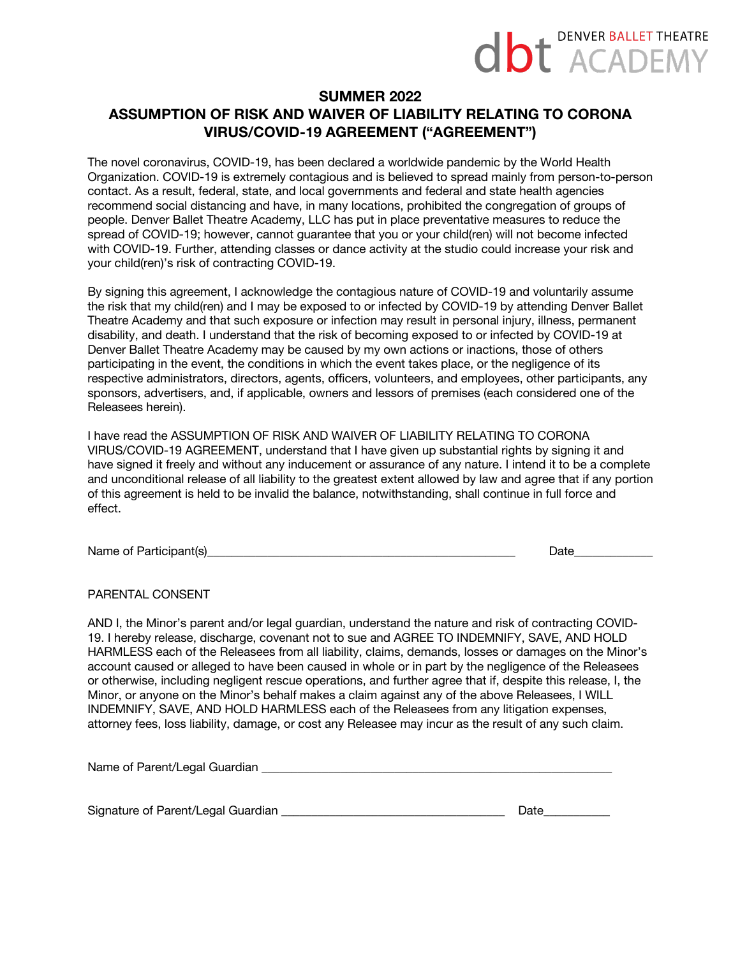# **dbt** DENVER BALLET THEATRE

### **SUMMER 2022**

# **ASSUMPTION OF RISK AND WAIVER OF LIABILITY RELATING TO CORONA VIRUS/COVID-19 AGREEMENT ("AGREEMENT")**

The novel coronavirus, COVID-19, has been declared a worldwide pandemic by the World Health Organization. COVID-19 is extremely contagious and is believed to spread mainly from person-to-person contact. As a result, federal, state, and local governments and federal and state health agencies recommend social distancing and have, in many locations, prohibited the congregation of groups of people. Denver Ballet Theatre Academy, LLC has put in place preventative measures to reduce the spread of COVID-19; however, cannot guarantee that you or your child(ren) will not become infected with COVID-19. Further, attending classes or dance activity at the studio could increase your risk and your child(ren)'s risk of contracting COVID-19.

By signing this agreement, I acknowledge the contagious nature of COVID-19 and voluntarily assume the risk that my child(ren) and I may be exposed to or infected by COVID-19 by attending Denver Ballet Theatre Academy and that such exposure or infection may result in personal injury, illness, permanent disability, and death. I understand that the risk of becoming exposed to or infected by COVID-19 at Denver Ballet Theatre Academy may be caused by my own actions or inactions, those of others participating in the event, the conditions in which the event takes place, or the negligence of its respective administrators, directors, agents, officers, volunteers, and employees, other participants, any sponsors, advertisers, and, if applicable, owners and lessors of premises (each considered one of the Releasees herein).

I have read the ASSUMPTION OF RISK AND WAIVER OF LIABILITY RELATING TO CORONA VIRUS/COVID-19 AGREEMENT, understand that I have given up substantial rights by signing it and have signed it freely and without any inducement or assurance of any nature. I intend it to be a complete and unconditional release of all liability to the greatest extent allowed by law and agree that if any portion of this agreement is held to be invalid the balance, notwithstanding, shall continue in full force and effect.

Name of Participant(s) example of Participant (s) and the set of the set of the set of the set of the set of the set of the set of the set of the set of the set of the set of the set of the set of the set of the set of the

PARENTAL CONSENT

AND I, the Minor's parent and/or legal guardian, understand the nature and risk of contracting COVID-19. I hereby release, discharge, covenant not to sue and AGREE TO INDEMNIFY, SAVE, AND HOLD HARMLESS each of the Releasees from all liability, claims, demands, losses or damages on the Minor's account caused or alleged to have been caused in whole or in part by the negligence of the Releasees or otherwise, including negligent rescue operations, and further agree that if, despite this release, I, the Minor, or anyone on the Minor's behalf makes a claim against any of the above Releasees, I WILL INDEMNIFY, SAVE, AND HOLD HARMLESS each of the Releasees from any litigation expenses, attorney fees, loss liability, damage, or cost any Releasee may incur as the result of any such claim.

Name of Parent/Legal Guardian **Example 20** and the example of Parent/Legal Guardian

Signature of Parent/Legal Guardian \_\_\_\_\_\_\_\_\_\_\_\_\_\_\_\_\_\_\_\_\_\_\_\_\_\_\_\_\_\_\_\_\_\_\_\_\_ Date\_\_\_\_\_\_\_\_\_\_\_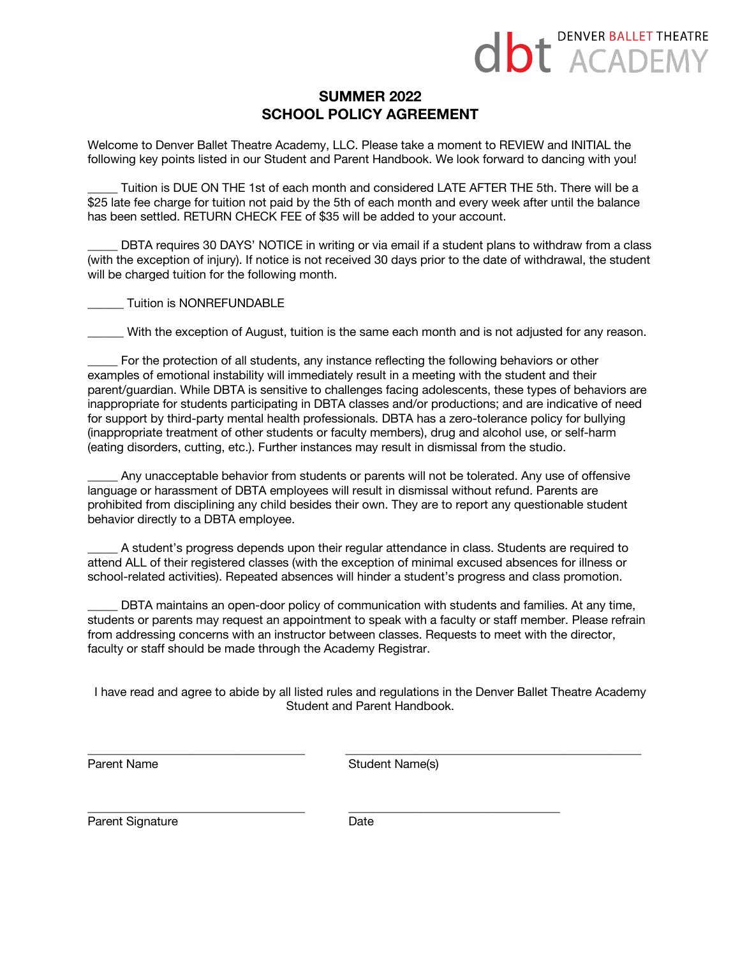

# **SUMMER 2022 SCHOOL POLICY AGREEMENT**

Welcome to Denver Ballet Theatre Academy, LLC. Please take a moment to REVIEW and INITIAL the following key points listed in our Student and Parent Handbook. We look forward to dancing with you!

Tuition is DUE ON THE 1st of each month and considered LATE AFTER THE 5th. There will be a \$25 late fee charge for tuition not paid by the 5th of each month and every week after until the balance has been settled. RETURN CHECK FEE of \$35 will be added to your account.

DBTA requires 30 DAYS' NOTICE in writing or via email if a student plans to withdraw from a class (with the exception of injury). If notice is not received 30 days prior to the date of withdrawal, the student will be charged tuition for the following month.

\_\_\_\_\_\_ Tuition is NONREFUNDABLE

\_\_\_\_\_\_ With the exception of August, tuition is the same each month and is not adjusted for any reason.

For the protection of all students, any instance reflecting the following behaviors or other examples of emotional instability will immediately result in a meeting with the student and their parent/guardian. While DBTA is sensitive to challenges facing adolescents, these types of behaviors are inappropriate for students participating in DBTA classes and/or productions; and are indicative of need for support by third-party mental health professionals. DBTA has a zero-tolerance policy for bullying (inappropriate treatment of other students or faculty members), drug and alcohol use, or self-harm (eating disorders, cutting, etc.). Further instances may result in dismissal from the studio.

Any unacceptable behavior from students or parents will not be tolerated. Any use of offensive language or harassment of DBTA employees will result in dismissal without refund. Parents are prohibited from disciplining any child besides their own. They are to report any questionable student behavior directly to a DBTA employee.

A student's progress depends upon their regular attendance in class. Students are required to attend ALL of their registered classes (with the exception of minimal excused absences for illness or school-related activities). Repeated absences will hinder a student's progress and class promotion.

DBTA maintains an open-door policy of communication with students and families. At any time, students or parents may request an appointment to speak with a faculty or staff member. Please refrain from addressing concerns with an instructor between classes. Requests to meet with the director, faculty or staff should be made through the Academy Registrar.

I have read and agree to abide by all listed rules and regulations in the Denver Ballet Theatre Academy Student and Parent Handbook.

\_\_\_\_\_\_\_\_\_\_\_\_\_\_\_\_\_\_\_\_\_\_\_\_\_\_\_\_\_\_\_\_\_\_\_\_ \_\_\_\_\_\_\_\_\_\_\_\_\_\_\_\_\_\_\_\_\_\_\_\_\_\_\_\_\_\_\_\_\_\_\_\_\_\_\_\_\_\_\_\_\_\_\_\_\_

Parent Name Student Name(s)

Parent Signature Date

\_\_\_\_\_\_\_\_\_\_\_\_\_\_\_\_\_\_\_\_\_\_\_\_\_\_\_\_\_\_\_\_\_\_\_\_ \_\_\_\_\_\_\_\_\_\_\_\_\_\_\_\_\_\_\_\_\_\_\_\_\_\_\_\_\_\_\_\_\_\_\_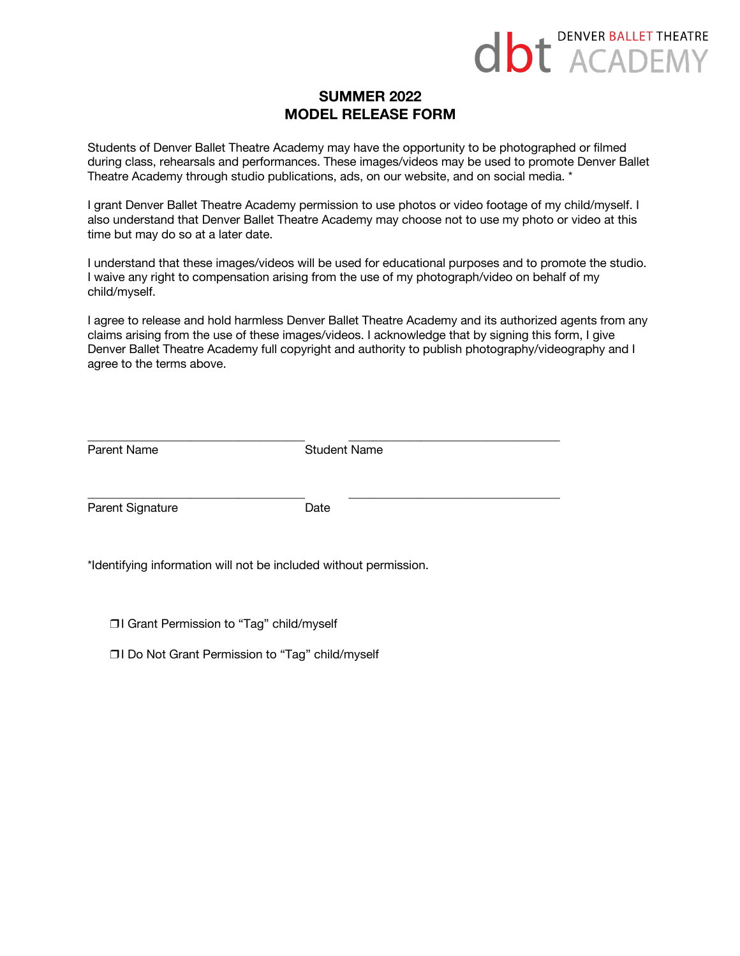

# **SUMMER 2022 MODEL RELEASE FORM**

Students of Denver Ballet Theatre Academy may have the opportunity to be photographed or filmed during class, rehearsals and performances. These images/videos may be used to promote Denver Ballet Theatre Academy through studio publications, ads, on our website, and on social media. \*

I grant Denver Ballet Theatre Academy permission to use photos or video footage of my child/myself. I also understand that Denver Ballet Theatre Academy may choose not to use my photo or video at this time but may do so at a later date.

I understand that these images/videos will be used for educational purposes and to promote the studio. I waive any right to compensation arising from the use of my photograph/video on behalf of my child/myself.

I agree to release and hold harmless Denver Ballet Theatre Academy and its authorized agents from any claims arising from the use of these images/videos. I acknowledge that by signing this form, I give Denver Ballet Theatre Academy full copyright and authority to publish photography/videography and I agree to the terms above.

| Parent Name      | <b>Student Name</b> |  |  |
|------------------|---------------------|--|--|
| Parent Signature | Date                |  |  |

\*Identifying information will not be included without permission.

❒I Grant Permission to "Tag" child/myself

❒I Do Not Grant Permission to "Tag" child/myself